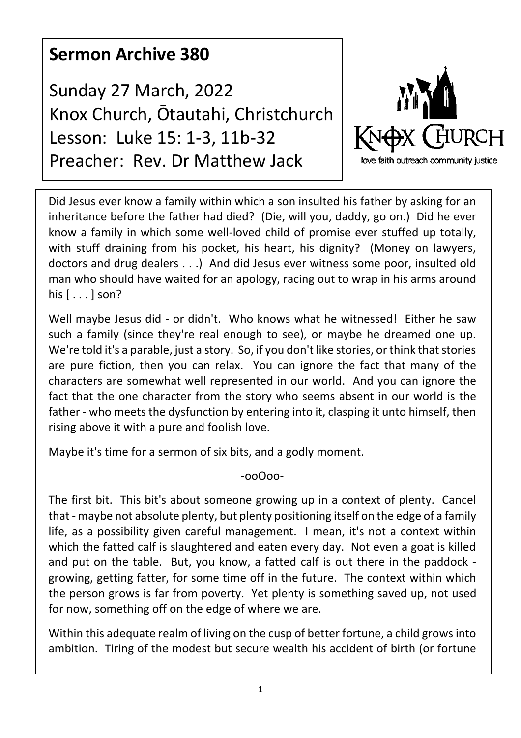# **Sermon Archive 380**

Sunday 27 March, 2022 Knox Church, Ōtautahi, Christchurch Lesson: Luke 15: 1-3, 11b-32 Preacher: Rev. Dr Matthew Jack



Did Jesus ever know a family within which a son insulted his father by asking for an inheritance before the father had died? (Die, will you, daddy, go on.) Did he ever know a family in which some well-loved child of promise ever stuffed up totally, with stuff draining from his pocket, his heart, his dignity? (Money on lawyers, doctors and drug dealers . . .) And did Jesus ever witness some poor, insulted old man who should have waited for an apology, racing out to wrap in his arms around his [ . . . ] son?

Well maybe Jesus did - or didn't. Who knows what he witnessed! Either he saw such a family (since they're real enough to see), or maybe he dreamed one up. We're told it's a parable, just a story. So, if you don't like stories, or think that stories are pure fiction, then you can relax. You can ignore the fact that many of the characters are somewhat well represented in our world. And you can ignore the fact that the one character from the story who seems absent in our world is the father - who meets the dysfunction by entering into it, clasping it unto himself, then rising above it with a pure and foolish love.

Maybe it's time for a sermon of six bits, and a godly moment.

-ooOoo-

The first bit. This bit's about someone growing up in a context of plenty. Cancel that - maybe not absolute plenty, but plenty positioning itself on the edge of a family life, as a possibility given careful management. I mean, it's not a context within which the fatted calf is slaughtered and eaten every day. Not even a goat is killed and put on the table. But, you know, a fatted calf is out there in the paddock growing, getting fatter, for some time off in the future. The context within which the person grows is far from poverty. Yet plenty is something saved up, not used for now, something off on the edge of where we are.

Within this adequate realm of living on the cusp of better fortune, a child grows into ambition. Tiring of the modest but secure wealth his accident of birth (or fortune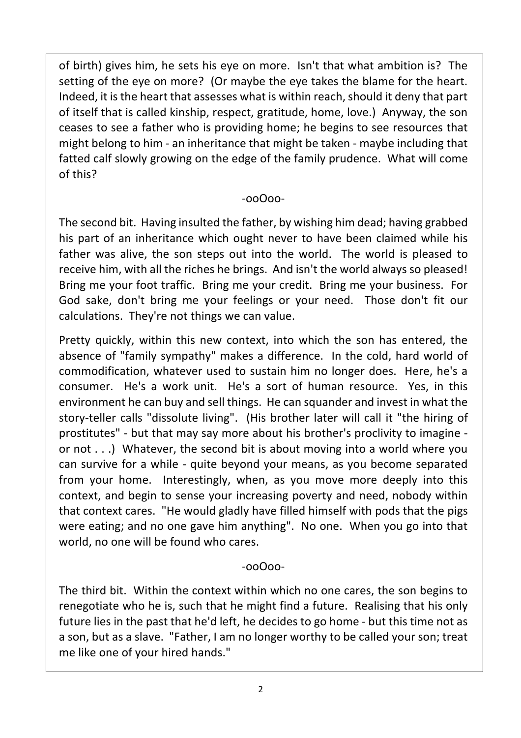of birth) gives him, he sets his eye on more. Isn't that what ambition is? The setting of the eye on more? (Or maybe the eye takes the blame for the heart. Indeed, it is the heart that assesses what is within reach, should it deny that part of itself that is called kinship, respect, gratitude, home, love.) Anyway, the son ceases to see a father who is providing home; he begins to see resources that might belong to him - an inheritance that might be taken - maybe including that fatted calf slowly growing on the edge of the family prudence. What will come of this?

#### -ooOoo-

The second bit. Having insulted the father, by wishing him dead; having grabbed his part of an inheritance which ought never to have been claimed while his father was alive, the son steps out into the world. The world is pleased to receive him, with all the riches he brings. And isn't the world always so pleased! Bring me your foot traffic. Bring me your credit. Bring me your business. For God sake, don't bring me your feelings or your need. Those don't fit our calculations. They're not things we can value.

Pretty quickly, within this new context, into which the son has entered, the absence of "family sympathy" makes a difference. In the cold, hard world of commodification, whatever used to sustain him no longer does. Here, he's a consumer. He's a work unit. He's a sort of human resource. Yes, in this environment he can buy and sell things. He can squander and invest in what the story-teller calls "dissolute living". (His brother later will call it "the hiring of prostitutes" - but that may say more about his brother's proclivity to imagine or not . . .) Whatever, the second bit is about moving into a world where you can survive for a while - quite beyond your means, as you become separated from your home. Interestingly, when, as you move more deeply into this context, and begin to sense your increasing poverty and need, nobody within that context cares. "He would gladly have filled himself with pods that the pigs were eating; and no one gave him anything". No one. When you go into that world, no one will be found who cares.

## -ooOoo-

The third bit. Within the context within which no one cares, the son begins to renegotiate who he is, such that he might find a future. Realising that his only future lies in the past that he'd left, he decides to go home - but this time not as a son, but as a slave. "Father, I am no longer worthy to be called your son; treat me like one of your hired hands."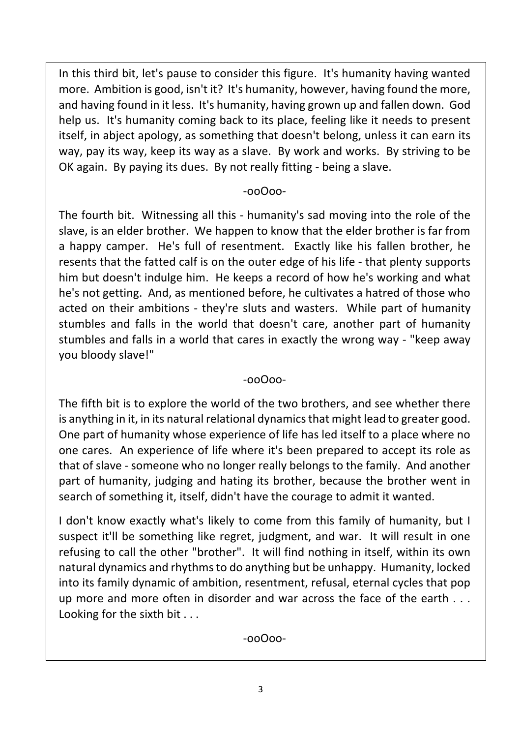In this third bit, let's pause to consider this figure. It's humanity having wanted more. Ambition is good, isn't it? It's humanity, however, having found the more, and having found in it less. It's humanity, having grown up and fallen down. God help us. It's humanity coming back to its place, feeling like it needs to present itself, in abject apology, as something that doesn't belong, unless it can earn its way, pay its way, keep its way as a slave. By work and works. By striving to be OK again. By paying its dues. By not really fitting - being a slave.

#### -ooOoo-

The fourth bit. Witnessing all this - humanity's sad moving into the role of the slave, is an elder brother. We happen to know that the elder brother is far from a happy camper. He's full of resentment. Exactly like his fallen brother, he resents that the fatted calf is on the outer edge of his life - that plenty supports him but doesn't indulge him. He keeps a record of how he's working and what he's not getting. And, as mentioned before, he cultivates a hatred of those who acted on their ambitions - they're sluts and wasters. While part of humanity stumbles and falls in the world that doesn't care, another part of humanity stumbles and falls in a world that cares in exactly the wrong way - "keep away you bloody slave!"

## -ooOoo-

The fifth bit is to explore the world of the two brothers, and see whether there is anything in it, in its natural relational dynamics that might lead to greater good. One part of humanity whose experience of life has led itself to a place where no one cares. An experience of life where it's been prepared to accept its role as that of slave - someone who no longer really belongs to the family. And another part of humanity, judging and hating its brother, because the brother went in search of something it, itself, didn't have the courage to admit it wanted.

I don't know exactly what's likely to come from this family of humanity, but I suspect it'll be something like regret, judgment, and war. It will result in one refusing to call the other "brother". It will find nothing in itself, within its own natural dynamics and rhythms to do anything but be unhappy. Humanity, locked into its family dynamic of ambition, resentment, refusal, eternal cycles that pop up more and more often in disorder and war across the face of the earth . . . Looking for the sixth bit . . .

-ooOoo-